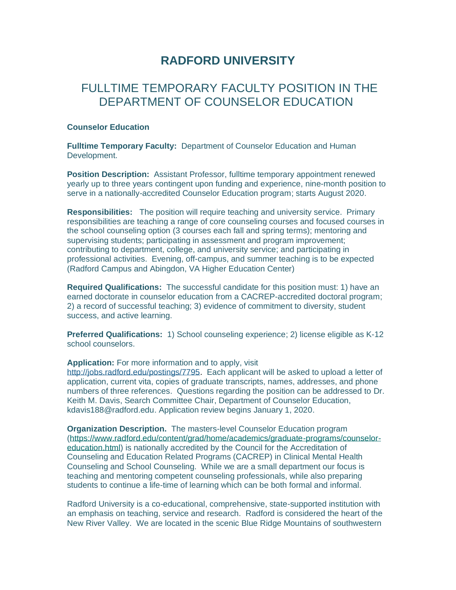## **RADFORD UNIVERSITY**

## FULL TIME TEMPORARY FACULTY POSITION IN THE DEPARTMENT OF COUNSELOR EDUCATION

## **Counselor Education**

**Fulltime Temporary Faculty:** Department of Counselor Education and Human Development.

**Position Description:** Assistant Professor, fulltime temporary appointment renewed yearly up to three years contingent upon funding and experience, nine-month position to serve in a nationally-accredited Counselor Education program; starts August 2020.

**Responsibilities:** The position will require teaching and university service. Primary responsibilities are teaching a range of core counseling courses and focused courses in the school counseling option (3 courses each fall and spring terms); mentoring and supervising students; participating in assessment and program improvement; contributing to department, college, and university service; and participating in professional activities. Evening, off-campus, and summer teaching is to be expected (Radford Campus and Abingdon, VA Higher Education Center)

**Required Qualifications:** The successful candidate for this position must: 1) have an earned doctorate in counselor education from a CACREP-accredited doctoral program; 2) a record of successful teaching; 3) evidence of commitment to diversity, student success, and active learning.

**Preferred Qualifications:** 1) School counseling experience; 2) license eligible as K-12 school counselors.

**Application:** For more information and to apply, visit

[http://jobs.radford.edu/postings/7795.](http://jobs.radford.edu/postings/7795) Each applicant will be asked to upload a letter of application, current vita, copies of graduate transcripts, names, addresses, and phone numbers of three references. Questions regarding the position can be addressed to Dr. Keith M. Davis, Search Committee Chair, Department of Counselor Education, [kdavis188@radford.edu.](mailto:kdavis188@radford.edu) Application review begins January 1, 2020.

**Organization Description.** The masters-level Counselor Education program [\(https://www.radford.edu/content/grad/home/academics/graduate-programs/counselor](https://www.radford.edu/content/grad/home/academics/graduate-programs/counselor-education.html)[education.html\)](https://www.radford.edu/content/grad/home/academics/graduate-programs/counselor-education.html) is nationally accredited by the Council for the Accreditation of Counseling and Education Related Programs (CACREP) in Clinical Mental Health Counseling and School Counseling. While we are a small department our focus is teaching and mentoring competent counseling professionals, while also preparing students to continue a life-time of learning which can be both formal and informal.

Radford University is a co-educational, comprehensive, state-supported institution with an emphasis on teaching, service and research. Radford is considered the heart of the New River Valley. We are located in the scenic Blue Ridge Mountains of southwestern